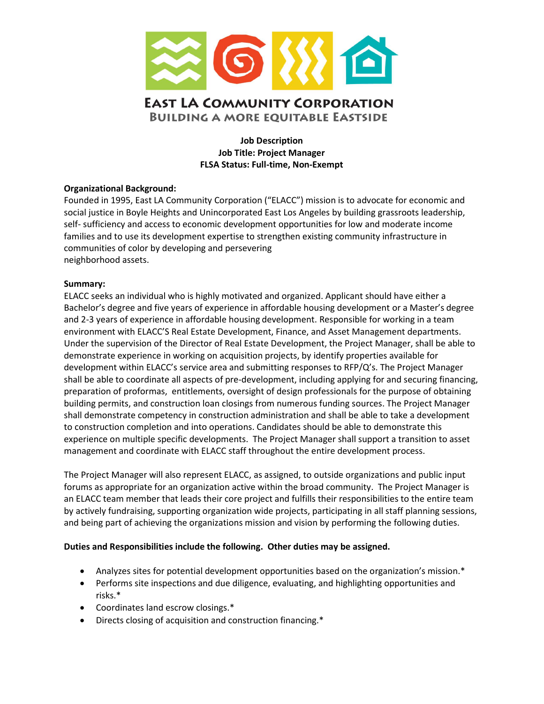

Job Description Job Title: Project Manager FLSA Status: Full-time, Non-Exempt

# Organizational Background:

Founded in 1995, East LA Community Corporation ("ELACC") mission is to advocate for economic and social justice in Boyle Heights and Unincorporated East Los Angeles by building grassroots leadership, self- sufficiency and access to economic development opportunities for low and moderate income families and to use its development expertise to strengthen existing community infrastructure in communities of color by developing and persevering neighborhood assets.

## Summary:

ELACC seeks an individual who is highly motivated and organized. Applicant should have either a Bachelor's degree and five years of experience in affordable housing development or a Master's degree and 2-3 years of experience in affordable housing development. Responsible for working in a team environment with ELACC'S Real Estate Development, Finance, and Asset Management departments. Under the supervision of the Director of Real Estate Development, the Project Manager, shall be able to demonstrate experience in working on acquisition projects, by identify properties available for development within ELACC's service area and submitting responses to RFP/Q's. The Project Manager shall be able to coordinate all aspects of pre-development, including applying for and securing financing, preparation of proformas, entitlements, oversight of design professionals for the purpose of obtaining building permits, and construction loan closings from numerous funding sources. The Project Manager shall demonstrate competency in construction administration and shall be able to take a development to construction completion and into operations. Candidates should be able to demonstrate this experience on multiple specific developments. The Project Manager shall support a transition to asset management and coordinate with ELACC staff throughout the entire development process.

The Project Manager will also represent ELACC, as assigned, to outside organizations and public input forums as appropriate for an organization active within the broad community. The Project Manager is an ELACC team member that leads their core project and fulfills their responsibilities to the entire team by actively fundraising, supporting organization wide projects, participating in all staff planning sessions, and being part of achieving the organizations mission and vision by performing the following duties.

#### Duties and Responsibilities include the following. Other duties may be assigned.

- Analyzes sites for potential development opportunities based on the organization's mission.\*
- Performs site inspections and due diligence, evaluating, and highlighting opportunities and risks.\*
- Coordinates land escrow closings.\*
- Directs closing of acquisition and construction financing.\*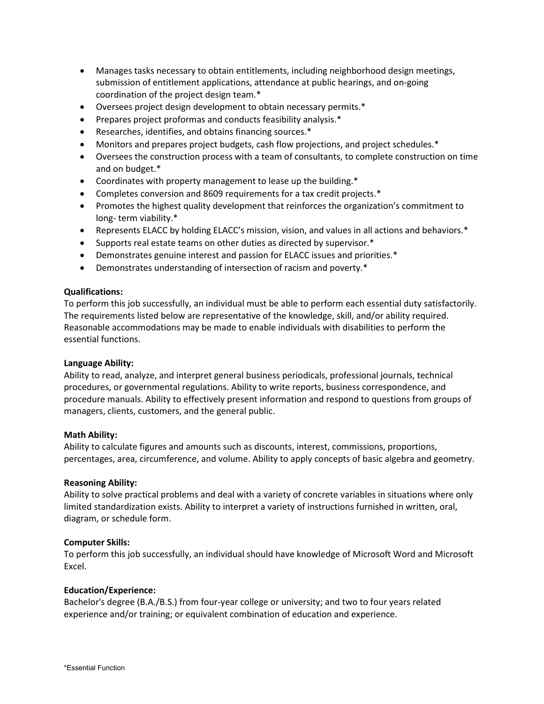- Manages tasks necessary to obtain entitlements, including neighborhood design meetings, submission of entitlement applications, attendance at public hearings, and on-going coordination of the project design team.\*
- Oversees project design development to obtain necessary permits.\*
- Prepares project proformas and conducts feasibility analysis.\*
- Researches, identifies, and obtains financing sources.\*
- Monitors and prepares project budgets, cash flow projections, and project schedules.\*
- Oversees the construction process with a team of consultants, to complete construction on time and on budget.\*
- Coordinates with property management to lease up the building.\*
- Completes conversion and 8609 requirements for a tax credit projects.\*
- Promotes the highest quality development that reinforces the organization's commitment to long- term viability.\*
- Represents ELACC by holding ELACC's mission, vision, and values in all actions and behaviors.\*
- Supports real estate teams on other duties as directed by supervisor.\*
- Demonstrates genuine interest and passion for ELACC issues and priorities.\*
- Demonstrates understanding of intersection of racism and poverty.\*

## Qualifications:

To perform this job successfully, an individual must be able to perform each essential duty satisfactorily. The requirements listed below are representative of the knowledge, skill, and/or ability required. Reasonable accommodations may be made to enable individuals with disabilities to perform the essential functions.

#### Language Ability:

Ability to read, analyze, and interpret general business periodicals, professional journals, technical procedures, or governmental regulations. Ability to write reports, business correspondence, and procedure manuals. Ability to effectively present information and respond to questions from groups of managers, clients, customers, and the general public.

#### Math Ability:

Ability to calculate figures and amounts such as discounts, interest, commissions, proportions, percentages, area, circumference, and volume. Ability to apply concepts of basic algebra and geometry.

# Reasoning Ability:

Ability to solve practical problems and deal with a variety of concrete variables in situations where only limited standardization exists. Ability to interpret a variety of instructions furnished in written, oral, diagram, or schedule form.

# Computer Skills:

To perform this job successfully, an individual should have knowledge of Microsoft Word and Microsoft Excel.

# Education/Experience:

Bachelor's degree (B.A./B.S.) from four-year college or university; and two to four years related experience and/or training; or equivalent combination of education and experience.